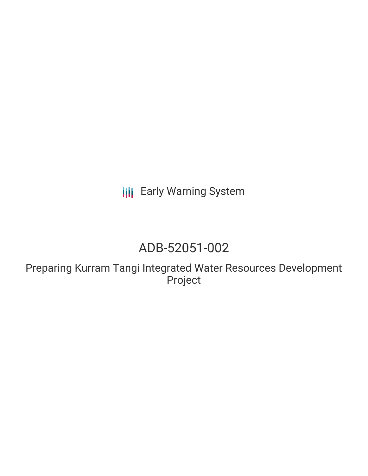**III** Early Warning System

# ADB-52051-002

Preparing Kurram Tangi Integrated Water Resources Development Project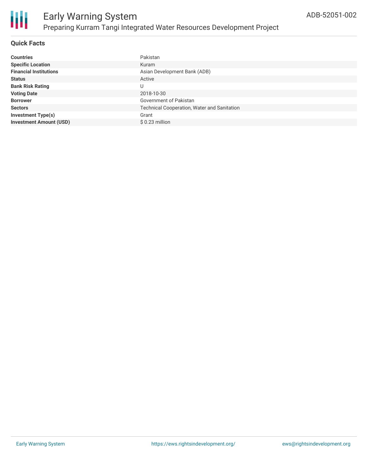

#### **Quick Facts**

| <b>Countries</b>               | Pakistan                                           |
|--------------------------------|----------------------------------------------------|
| <b>Specific Location</b>       | Kuram                                              |
| <b>Financial Institutions</b>  | Asian Development Bank (ADB)                       |
| <b>Status</b>                  | Active                                             |
| <b>Bank Risk Rating</b>        | U                                                  |
| <b>Voting Date</b>             | 2018-10-30                                         |
| <b>Borrower</b>                | Government of Pakistan                             |
| <b>Sectors</b>                 | <b>Technical Cooperation, Water and Sanitation</b> |
| <b>Investment Type(s)</b>      | Grant                                              |
| <b>Investment Amount (USD)</b> | $$0.23$ million                                    |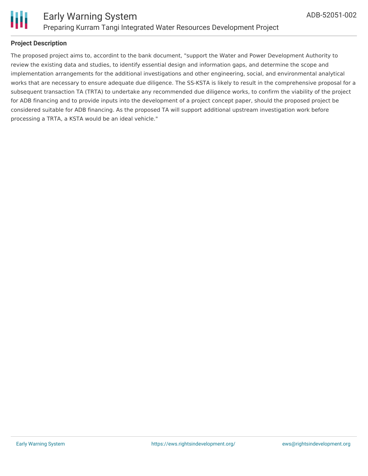

#### **Project Description**

The proposed project aims to, accordint to the bank document, "support the Water and Power Development Authority to review the existing data and studies, to identify essential design and information gaps, and determine the scope and implementation arrangements for the additional investigations and other engineering, social, and environmental analytical works that are necessary to ensure adequate due diligence. The SS-KSTA is likely to result in the comprehensive proposal for a subsequent transaction TA (TRTA) to undertake any recommended due diligence works, to confirm the viability of the project for ADB financing and to provide inputs into the development of a project concept paper, should the proposed project be considered suitable for ADB financing. As the proposed TA will support additional upstream investigation work before processing a TRTA, a KSTA would be an ideal vehicle."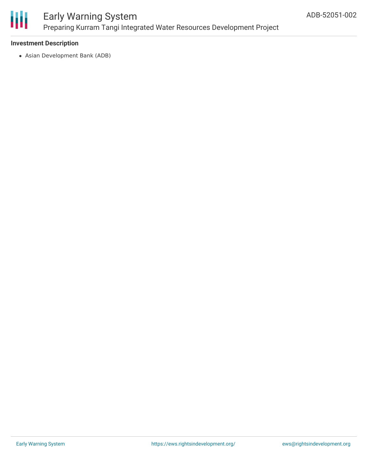

#### **Investment Description**

Asian Development Bank (ADB)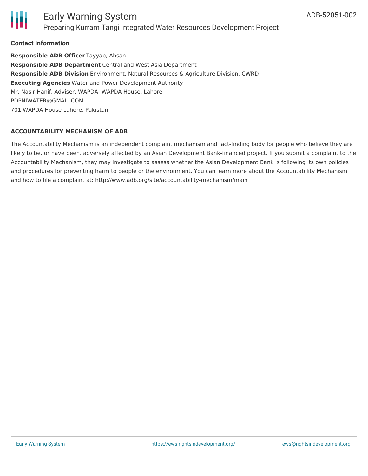

#### **Contact Information**

**Responsible ADB Officer** Tayyab, Ahsan **Responsible ADB Department** Central and West Asia Department **Responsible ADB Division** Environment, Natural Resources & Agriculture Division, CWRD **Executing Agencies** Water and Power Development Authority Mr. Nasir Hanif, Adviser, WAPDA, WAPDA House, Lahore PDPNIWATER@GMAIL.COM 701 WAPDA House Lahore, Pakistan

#### **ACCOUNTABILITY MECHANISM OF ADB**

The Accountability Mechanism is an independent complaint mechanism and fact-finding body for people who believe they are likely to be, or have been, adversely affected by an Asian Development Bank-financed project. If you submit a complaint to the Accountability Mechanism, they may investigate to assess whether the Asian Development Bank is following its own policies and procedures for preventing harm to people or the environment. You can learn more about the Accountability Mechanism and how to file a complaint at: http://www.adb.org/site/accountability-mechanism/main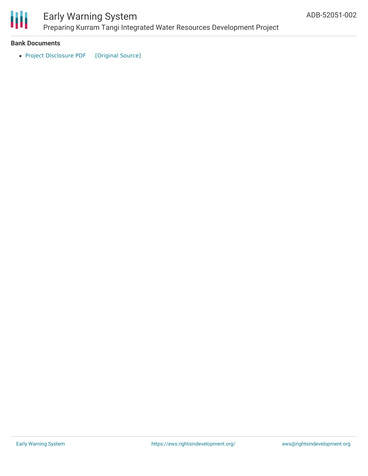

#### **Bank Documents**

• Project [Disclosure](https://ewsdata.rightsindevelopment.org/files/documents/02/ADB-52051-002.pdf) PDF [\[Original](https://www.adb.org/printpdf/projects/52051-002/main) Source]